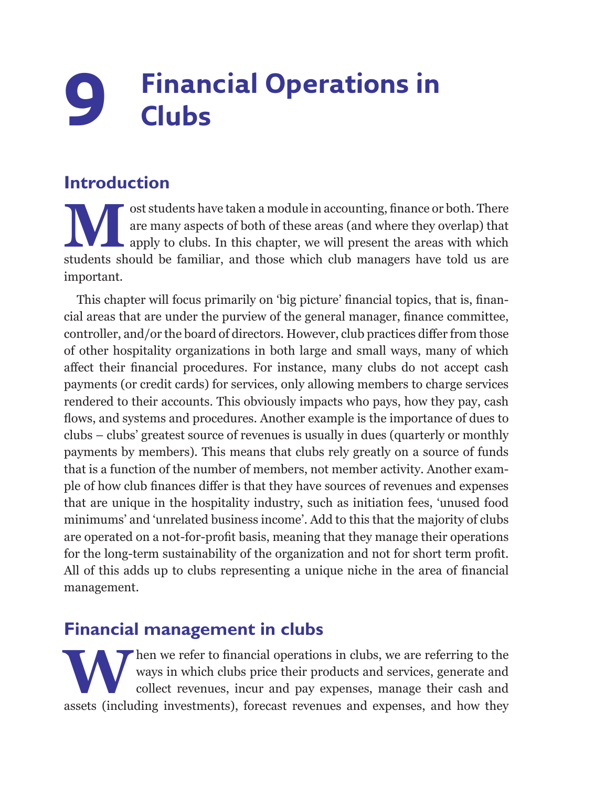## **9 Financial Operations in Clubs**

## **Introduction**

ost students have taken a module in accounting, finance or both. There are many aspects of both of these areas (and where they overlap) that apply to clubs. In this chapter, we will present the areas with which students sh are many aspects of both of these areas (and where they overlap) that apply to clubs. In this chapter, we will present the areas with which students should be familiar, and those which club managers have told us are important.

This chapter will focus primarily on 'big picture' financial topics, that is, financial areas that are under the purview of the general manager, finance committee, controller, and/or the board of directors. However, club practices differ from those of other hospitality organizations in both large and small ways, many of which affect their financial procedures. For instance, many clubs do not accept cash payments (or credit cards) for services, only allowing members to charge services rendered to their accounts. This obviously impacts who pays, how they pay, cash flows, and systems and procedures. Another example is the importance of dues to clubs – clubs' greatest source of revenues is usually in dues (quarterly or monthly payments by members). This means that clubs rely greatly on a source of funds that is a function of the number of members, not member activity. Another example of how club finances differ is that they have sources of revenues and expenses that are unique in the hospitality industry, such as initiation fees, 'unused food minimums' and 'unrelated business income'. Add to this that the majority of clubs are operated on a not-for-profit basis, meaning that they manage their operations for the long-term sustainability of the organization and not for short term profit. All of this adds up to clubs representing a unique niche in the area of financial management.

## **Financial management in clubs**

When we refer to financial operations in clubs, we are referring to the ways in which clubs price their products and services, generate and collect revenues, incur and pay expenses, manage their cash and assets (including ways in which clubs price their products and services, generate and collect revenues, incur and pay expenses, manage their cash and assets (including investments), forecast revenues and expenses, and how they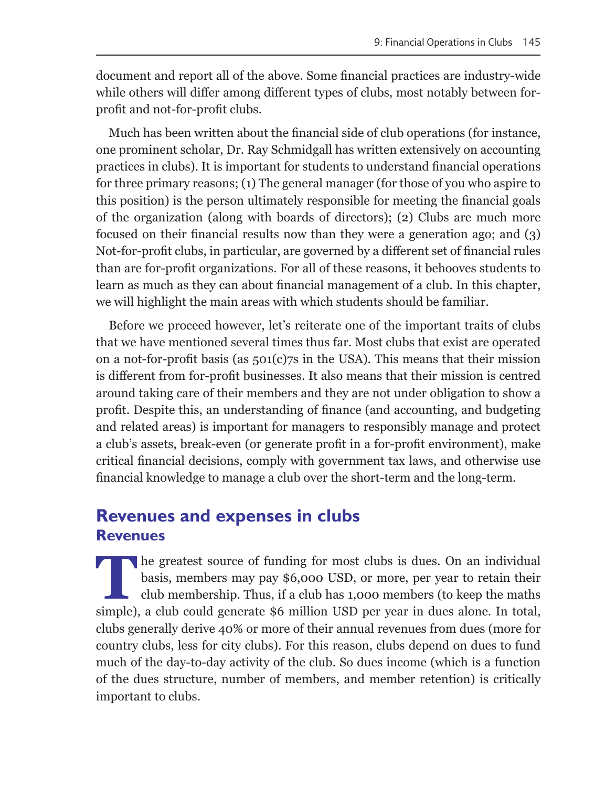document and report all of the above. Some financial practices are industry-wide while others will differ among different types of clubs, most notably between forprofit and not-for-profit clubs.

Much has been written about the financial side of club operations (for instance, one prominent scholar, Dr. Ray Schmidgall has written extensively on accounting practices in clubs). It is important for students to understand financial operations for three primary reasons; (1) The general manager (for those of you who aspire to this position) is the person ultimately responsible for meeting the financial goals of the organization (along with boards of directors); (2) Clubs are much more focused on their financial results now than they were a generation ago; and (3) Not-for-profit clubs, in particular, are governed by a different set of financial rules than are for-profit organizations. For all of these reasons, it behooves students to learn as much as they can about financial management of a club. In this chapter, we will highlight the main areas with which students should be familiar.

Before we proceed however, let's reiterate one of the important traits of clubs that we have mentioned several times thus far. Most clubs that exist are operated on a not-for-profit basis (as  $501(c)7s$  in the USA). This means that their mission is different from for-profit businesses. It also means that their mission is centred around taking care of their members and they are not under obligation to show a profit. Despite this, an understanding of finance (and accounting, and budgeting and related areas) is important for managers to responsibly manage and protect a club's assets, break-even (or generate profit in a for-profit environment), make critical financial decisions, comply with government tax laws, and otherwise use financial knowledge to manage a club over the short-term and the long-term.

## **Revenues and expenses in clubs Revenues**

**T**he greatest source of funding for most clubs is dues. On an individual basis, members may pay \$6,000 USD, or more, per year to retain their club membership. Thus, if a club has 1,000 members (to keep the maths simple), a club could generate \$6 million USD per year in dues alone. In total, clubs generally derive 40% or more of their annual revenues from dues (more for country clubs, less for city clubs). For this reason, clubs depend on dues to fund much of the day-to-day activity of the club. So dues income (which is a function of the dues structure, number of members, and member retention) is critically important to clubs.